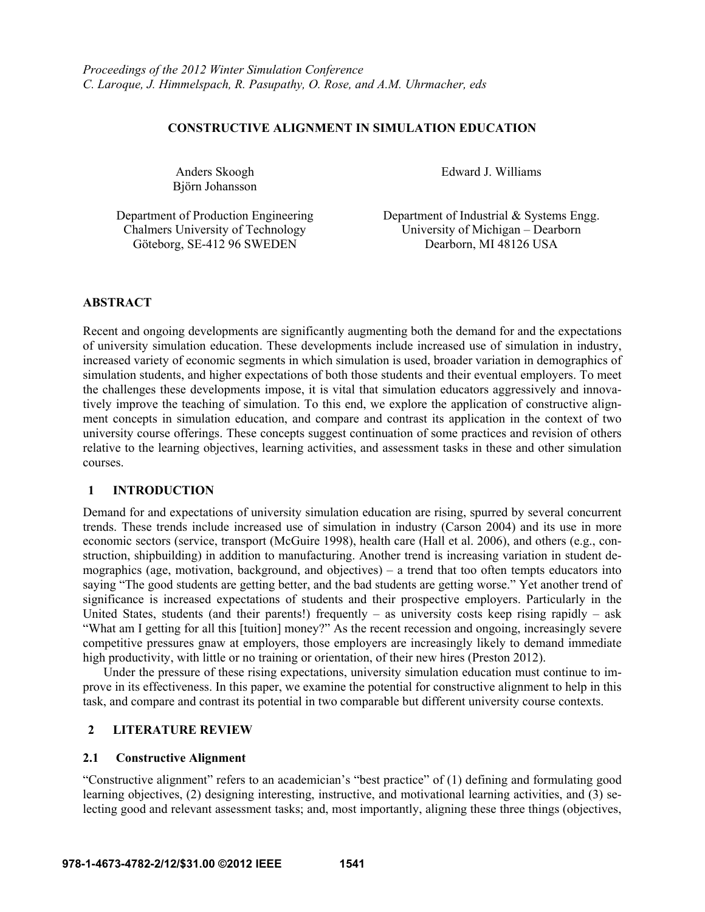### **CONSTRUCTIVE ALIGNMENT IN SIMULATION EDUCATION**

Anders Skoogh Björn Johansson Edward J. Williams

Göteborg, SE-412 96 SWEDEN Dearborn, MI 48126 USA

Department of Production Engineering Department of Industrial & Systems Engg. Chalmers University of Technology University of Michigan – Dearborn

### **ABSTRACT**

Recent and ongoing developments are significantly augmenting both the demand for and the expectations of university simulation education. These developments include increased use of simulation in industry, increased variety of economic segments in which simulation is used, broader variation in demographics of simulation students, and higher expectations of both those students and their eventual employers. To meet the challenges these developments impose, it is vital that simulation educators aggressively and innovatively improve the teaching of simulation. To this end, we explore the application of constructive alignment concepts in simulation education, and compare and contrast its application in the context of two university course offerings. These concepts suggest continuation of some practices and revision of others relative to the learning objectives, learning activities, and assessment tasks in these and other simulation courses.

# **1 INTRODUCTION**

Demand for and expectations of university simulation education are rising, spurred by several concurrent trends. These trends include increased use of simulation in industry (Carson 2004) and its use in more economic sectors (service, transport (McGuire 1998), health care (Hall et al. 2006), and others (e.g., construction, shipbuilding) in addition to manufacturing. Another trend is increasing variation in student demographics (age, motivation, background, and objectives) – a trend that too often tempts educators into saying "The good students are getting better, and the bad students are getting worse." Yet another trend of significance is increased expectations of students and their prospective employers. Particularly in the United States, students (and their parents!) frequently – as university costs keep rising rapidly – ask "What am I getting for all this [tuition] money?" As the recent recession and ongoing, increasingly severe competitive pressures gnaw at employers, those employers are increasingly likely to demand immediate high productivity, with little or no training or orientation, of their new hires (Preston 2012).

Under the pressure of these rising expectations, university simulation education must continue to improve in its effectiveness. In this paper, we examine the potential for constructive alignment to help in this task, and compare and contrast its potential in two comparable but different university course contexts.

# **2 LITERATURE REVIEW**

### **2.1 Constructive Alignment**

"Constructive alignment" refers to an academician's "best practice" of (1) defining and formulating good learning objectives, (2) designing interesting, instructive, and motivational learning activities, and (3) selecting good and relevant assessment tasks; and, most importantly, aligning these three things (objectives,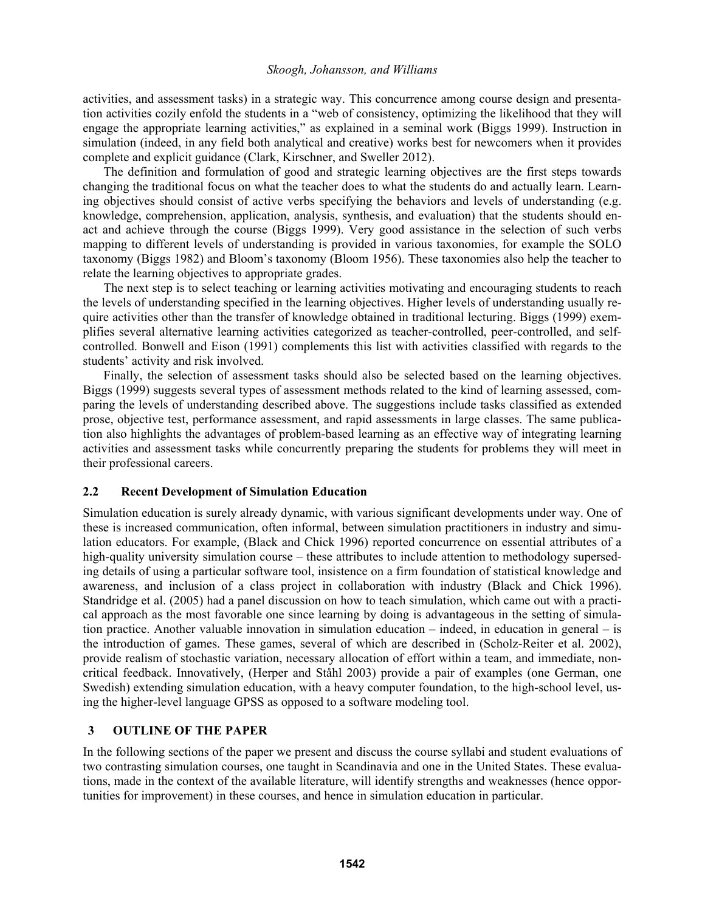activities, and assessment tasks) in a strategic way. This concurrence among course design and presentation activities cozily enfold the students in a "web of consistency, optimizing the likelihood that they will engage the appropriate learning activities," as explained in a seminal work (Biggs 1999). Instruction in simulation (indeed, in any field both analytical and creative) works best for newcomers when it provides complete and explicit guidance (Clark, Kirschner, and Sweller 2012).

The definition and formulation of good and strategic learning objectives are the first steps towards changing the traditional focus on what the teacher does to what the students do and actually learn. Learning objectives should consist of active verbs specifying the behaviors and levels of understanding (e.g. knowledge, comprehension, application, analysis, synthesis, and evaluation) that the students should enact and achieve through the course (Biggs 1999). Very good assistance in the selection of such verbs mapping to different levels of understanding is provided in various taxonomies, for example the SOLO taxonomy (Biggs 1982) and Bloom's taxonomy (Bloom 1956). These taxonomies also help the teacher to relate the learning objectives to appropriate grades.

The next step is to select teaching or learning activities motivating and encouraging students to reach the levels of understanding specified in the learning objectives. Higher levels of understanding usually require activities other than the transfer of knowledge obtained in traditional lecturing. Biggs (1999) exemplifies several alternative learning activities categorized as teacher-controlled, peer-controlled, and selfcontrolled. Bonwell and Eison (1991) complements this list with activities classified with regards to the students' activity and risk involved.

Finally, the selection of assessment tasks should also be selected based on the learning objectives. Biggs (1999) suggests several types of assessment methods related to the kind of learning assessed, comparing the levels of understanding described above. The suggestions include tasks classified as extended prose, objective test, performance assessment, and rapid assessments in large classes. The same publication also highlights the advantages of problem-based learning as an effective way of integrating learning activities and assessment tasks while concurrently preparing the students for problems they will meet in their professional careers.

### **2.2 Recent Development of Simulation Education**

Simulation education is surely already dynamic, with various significant developments under way. One of these is increased communication, often informal, between simulation practitioners in industry and simulation educators. For example, (Black and Chick 1996) reported concurrence on essential attributes of a high-quality university simulation course – these attributes to include attention to methodology superseding details of using a particular software tool, insistence on a firm foundation of statistical knowledge and awareness, and inclusion of a class project in collaboration with industry (Black and Chick 1996). Standridge et al. (2005) had a panel discussion on how to teach simulation, which came out with a practical approach as the most favorable one since learning by doing is advantageous in the setting of simulation practice. Another valuable innovation in simulation education – indeed, in education in general – is the introduction of games. These games, several of which are described in (Scholz-Reiter et al. 2002), provide realism of stochastic variation, necessary allocation of effort within a team, and immediate, noncritical feedback. Innovatively, (Herper and Ståhl 2003) provide a pair of examples (one German, one Swedish) extending simulation education, with a heavy computer foundation, to the high-school level, using the higher-level language GPSS as opposed to a software modeling tool.

# **3 OUTLINE OF THE PAPER**

In the following sections of the paper we present and discuss the course syllabi and student evaluations of two contrasting simulation courses, one taught in Scandinavia and one in the United States. These evaluations, made in the context of the available literature, will identify strengths and weaknesses (hence opportunities for improvement) in these courses, and hence in simulation education in particular.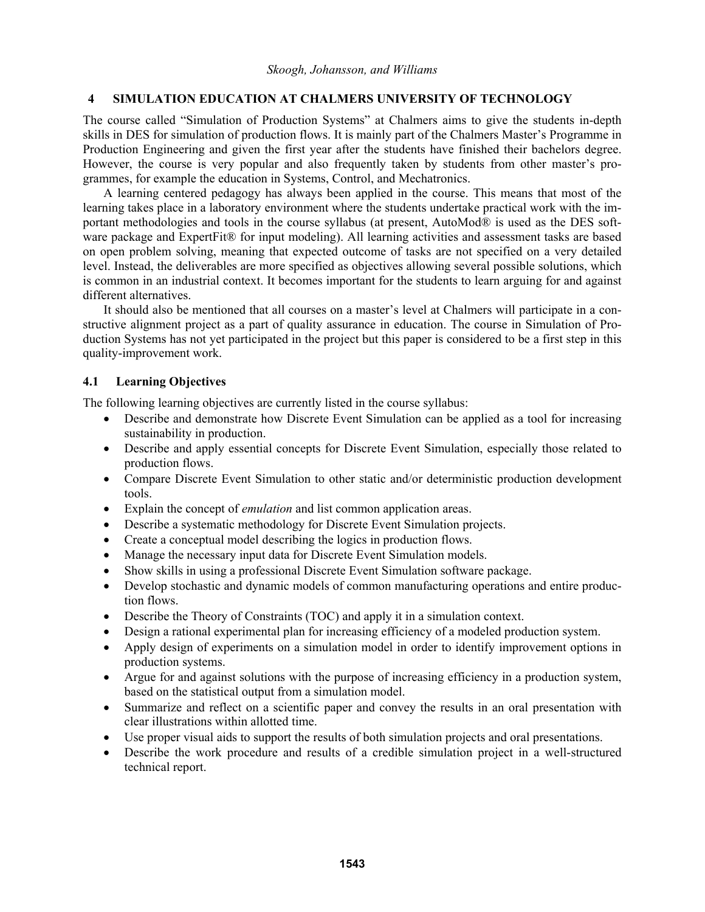# **4 SIMULATION EDUCATION AT CHALMERS UNIVERSITY OF TECHNOLOGY**

The course called "Simulation of Production Systems" at Chalmers aims to give the students in-depth skills in DES for simulation of production flows. It is mainly part of the Chalmers Master's Programme in Production Engineering and given the first year after the students have finished their bachelors degree. However, the course is very popular and also frequently taken by students from other master's programmes, for example the education in Systems, Control, and Mechatronics.

A learning centered pedagogy has always been applied in the course. This means that most of the learning takes place in a laboratory environment where the students undertake practical work with the important methodologies and tools in the course syllabus (at present, AutoMod® is used as the DES software package and ExpertFit® for input modeling). All learning activities and assessment tasks are based on open problem solving, meaning that expected outcome of tasks are not specified on a very detailed level. Instead, the deliverables are more specified as objectives allowing several possible solutions, which is common in an industrial context. It becomes important for the students to learn arguing for and against different alternatives.

It should also be mentioned that all courses on a master's level at Chalmers will participate in a constructive alignment project as a part of quality assurance in education. The course in Simulation of Production Systems has not yet participated in the project but this paper is considered to be a first step in this quality-improvement work.

# **4.1 Learning Objectives**

The following learning objectives are currently listed in the course syllabus:

- Describe and demonstrate how Discrete Event Simulation can be applied as a tool for increasing sustainability in production.
- Describe and apply essential concepts for Discrete Event Simulation, especially those related to production flows.
- Compare Discrete Event Simulation to other static and/or deterministic production development tools.
- Explain the concept of *emulation* and list common application areas.
- Describe a systematic methodology for Discrete Event Simulation projects.
- Create a conceptual model describing the logics in production flows.
- Manage the necessary input data for Discrete Event Simulation models.
- Show skills in using a professional Discrete Event Simulation software package.
- Develop stochastic and dynamic models of common manufacturing operations and entire production flows.
- Describe the Theory of Constraints (TOC) and apply it in a simulation context.
- Design a rational experimental plan for increasing efficiency of a modeled production system.
- Apply design of experiments on a simulation model in order to identify improvement options in production systems.
- Argue for and against solutions with the purpose of increasing efficiency in a production system, based on the statistical output from a simulation model.
- Summarize and reflect on a scientific paper and convey the results in an oral presentation with clear illustrations within allotted time.
- Use proper visual aids to support the results of both simulation projects and oral presentations.
- Describe the work procedure and results of a credible simulation project in a well-structured technical report.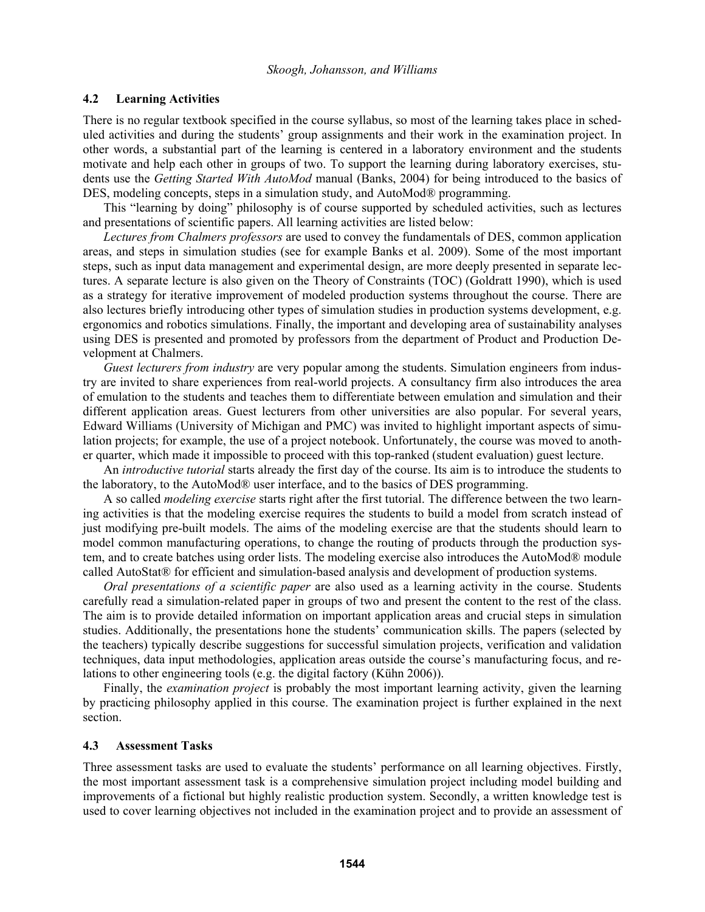### **4.2 Learning Activities**

There is no regular textbook specified in the course syllabus, so most of the learning takes place in scheduled activities and during the students' group assignments and their work in the examination project. In other words, a substantial part of the learning is centered in a laboratory environment and the students motivate and help each other in groups of two. To support the learning during laboratory exercises, students use the *Getting Started With AutoMod* manual (Banks, 2004) for being introduced to the basics of DES, modeling concepts, steps in a simulation study, and AutoMod® programming.

This "learning by doing" philosophy is of course supported by scheduled activities, such as lectures and presentations of scientific papers. All learning activities are listed below:

*Lectures from Chalmers professors* are used to convey the fundamentals of DES, common application areas, and steps in simulation studies (see for example Banks et al. 2009). Some of the most important steps, such as input data management and experimental design, are more deeply presented in separate lectures. A separate lecture is also given on the Theory of Constraints (TOC) (Goldratt 1990), which is used as a strategy for iterative improvement of modeled production systems throughout the course. There are also lectures briefly introducing other types of simulation studies in production systems development, e.g. ergonomics and robotics simulations. Finally, the important and developing area of sustainability analyses using DES is presented and promoted by professors from the department of Product and Production Development at Chalmers.

*Guest lecturers from industry* are very popular among the students. Simulation engineers from industry are invited to share experiences from real-world projects. A consultancy firm also introduces the area of emulation to the students and teaches them to differentiate between emulation and simulation and their different application areas. Guest lecturers from other universities are also popular. For several years, Edward Williams (University of Michigan and PMC) was invited to highlight important aspects of simulation projects; for example, the use of a project notebook. Unfortunately, the course was moved to another quarter, which made it impossible to proceed with this top-ranked (student evaluation) guest lecture.

An *introductive tutorial* starts already the first day of the course. Its aim is to introduce the students to the laboratory, to the AutoMod® user interface, and to the basics of DES programming.

A so called *modeling exercise* starts right after the first tutorial. The difference between the two learning activities is that the modeling exercise requires the students to build a model from scratch instead of just modifying pre-built models. The aims of the modeling exercise are that the students should learn to model common manufacturing operations, to change the routing of products through the production system, and to create batches using order lists. The modeling exercise also introduces the AutoMod® module called AutoStat® for efficient and simulation-based analysis and development of production systems.

*Oral presentations of a scientific paper* are also used as a learning activity in the course. Students carefully read a simulation-related paper in groups of two and present the content to the rest of the class. The aim is to provide detailed information on important application areas and crucial steps in simulation studies. Additionally, the presentations hone the students' communication skills. The papers (selected by the teachers) typically describe suggestions for successful simulation projects, verification and validation techniques, data input methodologies, application areas outside the course's manufacturing focus, and relations to other engineering tools (e.g. the digital factory (Kühn 2006)).

Finally, the *examination project* is probably the most important learning activity, given the learning by practicing philosophy applied in this course. The examination project is further explained in the next section.

### **4.3 Assessment Tasks**

Three assessment tasks are used to evaluate the students' performance on all learning objectives. Firstly, the most important assessment task is a comprehensive simulation project including model building and improvements of a fictional but highly realistic production system. Secondly, a written knowledge test is used to cover learning objectives not included in the examination project and to provide an assessment of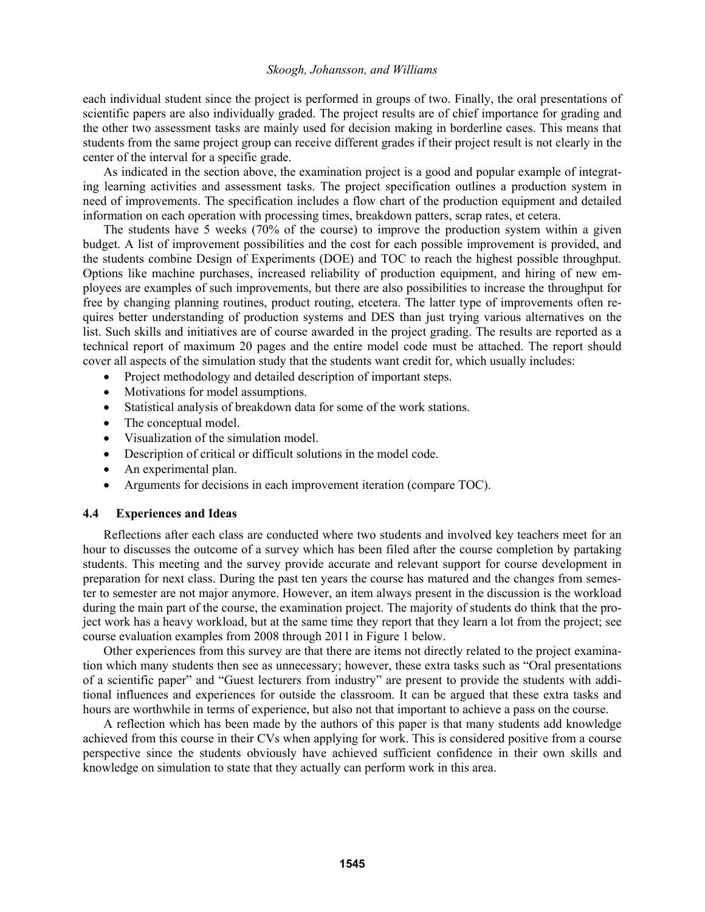each individual student since the project is performed in groups of two. Finally, the oral presentations of scientific papers are also individually graded. The project results are of chief importance for grading and the other two assessment tasks are mainly used for decision making in borderline cases. This means that students from the same project group can receive different grades if their project result is not clearly in the center of the interval for a specific grade.

As indicated in the section above, the examination project is a good and popular example of integrating learning activities and assessment tasks. The project specification outlines a production system in need of improvements. The specification includes a flow chart of the production equipment and detailed information on each operation with processing times, breakdown patters, scrap rates, et cetera.

The students have 5 weeks (70% of the course) to improve the production system within a given budget. A list of improvement possibilities and the cost for each possible improvement is provided, and the students combine Design of Experiments (DOE) and TOC to reach the highest possible throughput. Options like machine purchases, increased reliability of production equipment, and hiring of new employees are examples of such improvements, but there are also possibilities to increase the throughput for free by changing planning routines, product routing, etcetera. The latter type of improvements often requires better understanding of production systems and DES than just trying various alternatives on the list. Such skills and initiatives are of course awarded in the project grading. The results are reported as a technical report of maximum 20 pages and the entire model code must be attached. The report should cover all aspects of the simulation study that the students want credit for, which usually includes:

- Project methodology and detailed description of important steps.
- Motivations for model assumptions.
- Statistical analysis of breakdown data for some of the work stations.
- The conceptual model.
- Visualization of the simulation model.
- Description of critical or difficult solutions in the model code.
- An experimental plan.
- Arguments for decisions in each improvement iteration (compare TOC).

### **4.4 Experiences and Ideas**

Reflections after each class are conducted where two students and involved key teachers meet for an hour to discusses the outcome of a survey which has been filed after the course completion by partaking students. This meeting and the survey provide accurate and relevant support for course development in preparation for next class. During the past ten years the course has matured and the changes from semester to semester are not major anymore. However, an item always present in the discussion is the workload during the main part of the course, the examination project. The majority of students do think that the project work has a heavy workload, but at the same time they report that they learn a lot from the project; see course evaluation examples from 2008 through 2011 in Figure 1 below.

Other experiences from this survey are that there are items not directly related to the project examination which many students then see as unnecessary; however, these extra tasks such as "Oral presentations of a scientific paper" and "Guest lecturers from industry" are present to provide the students with additional influences and experiences for outside the classroom. It can be argued that these extra tasks and hours are worthwhile in terms of experience, but also not that important to achieve a pass on the course.

A reflection which has been made by the authors of this paper is that many students add knowledge achieved from this course in their CVs when applying for work. This is considered positive from a course perspective since the students obviously have achieved sufficient confidence in their own skills and knowledge on simulation to state that they actually can perform work in this area.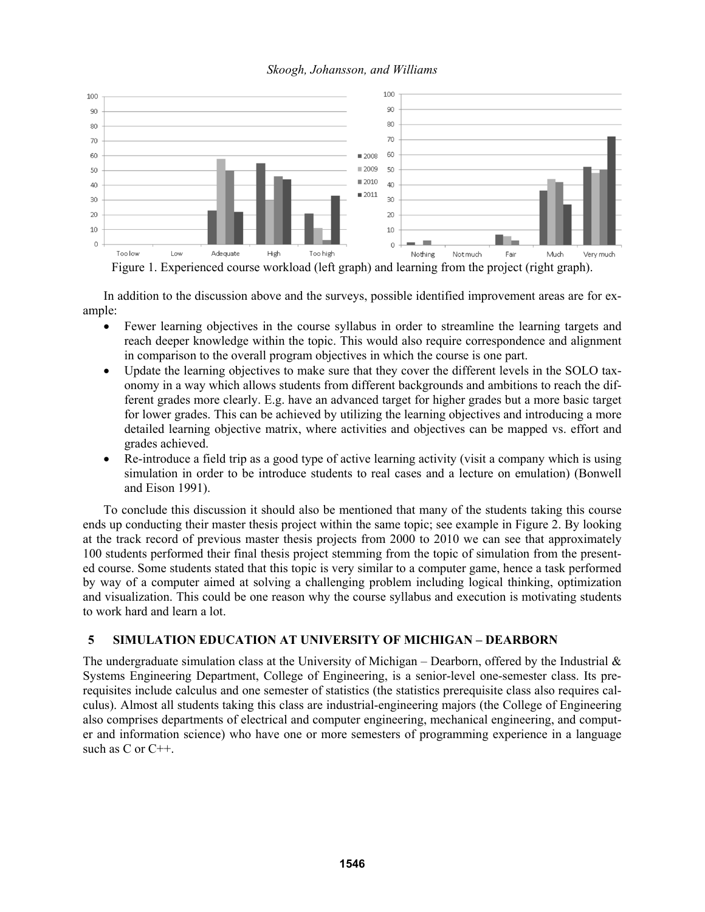

In addition to the discussion above and the surveys, possible identified improvement areas are for example:

- Fewer learning objectives in the course syllabus in order to streamline the learning targets and reach deeper knowledge within the topic. This would also require correspondence and alignment in comparison to the overall program objectives in which the course is one part.
- Update the learning objectives to make sure that they cover the different levels in the SOLO taxonomy in a way which allows students from different backgrounds and ambitions to reach the different grades more clearly. E.g. have an advanced target for higher grades but a more basic target for lower grades. This can be achieved by utilizing the learning objectives and introducing a more detailed learning objective matrix, where activities and objectives can be mapped vs. effort and grades achieved.
- Re-introduce a field trip as a good type of active learning activity (visit a company which is using simulation in order to be introduce students to real cases and a lecture on emulation) (Bonwell and Eison 1991).

To conclude this discussion it should also be mentioned that many of the students taking this course ends up conducting their master thesis project within the same topic; see example in Figure 2. By looking at the track record of previous master thesis projects from 2000 to 2010 we can see that approximately 100 students performed their final thesis project stemming from the topic of simulation from the presented course. Some students stated that this topic is very similar to a computer game, hence a task performed by way of a computer aimed at solving a challenging problem including logical thinking, optimization and visualization. This could be one reason why the course syllabus and execution is motivating students to work hard and learn a lot.

# **5 SIMULATION EDUCATION AT UNIVERSITY OF MICHIGAN – DEARBORN**

The undergraduate simulation class at the University of Michigan – Dearborn, offered by the Industrial  $\&$ Systems Engineering Department, College of Engineering, is a senior-level one-semester class. Its prerequisites include calculus and one semester of statistics (the statistics prerequisite class also requires calculus). Almost all students taking this class are industrial-engineering majors (the College of Engineering also comprises departments of electrical and computer engineering, mechanical engineering, and computer and information science) who have one or more semesters of programming experience in a language such as C or  $C++$ .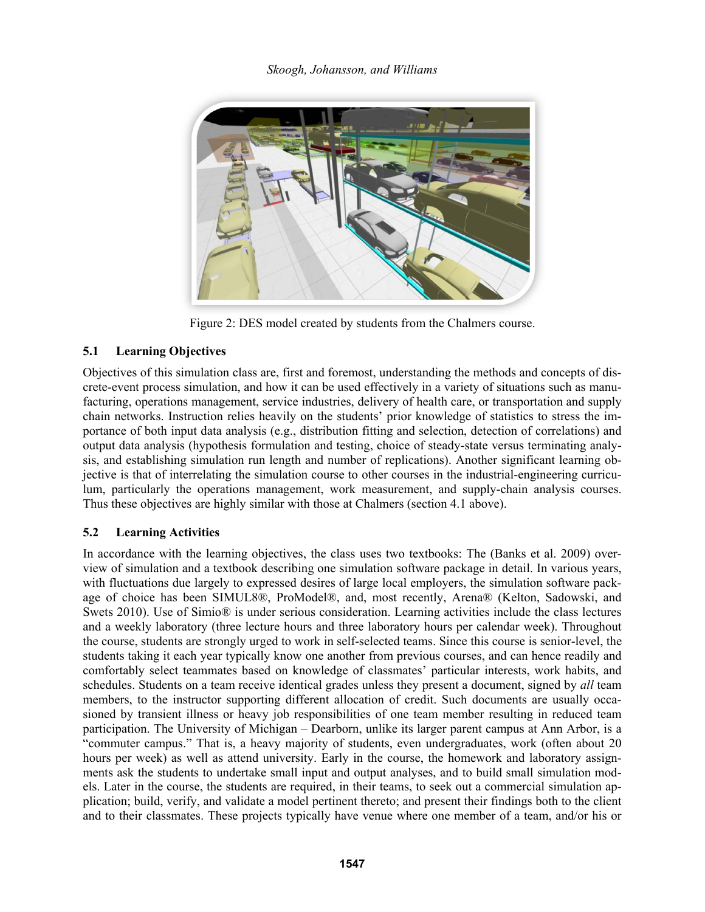

Figure 2: DES model created by students from the Chalmers course.

# **5.1 Learning Objectives**

Objectives of this simulation class are, first and foremost, understanding the methods and concepts of discrete-event process simulation, and how it can be used effectively in a variety of situations such as manufacturing, operations management, service industries, delivery of health care, or transportation and supply chain networks. Instruction relies heavily on the students' prior knowledge of statistics to stress the importance of both input data analysis (e.g., distribution fitting and selection, detection of correlations) and output data analysis (hypothesis formulation and testing, choice of steady-state versus terminating analysis, and establishing simulation run length and number of replications). Another significant learning objective is that of interrelating the simulation course to other courses in the industrial-engineering curriculum, particularly the operations management, work measurement, and supply-chain analysis courses. Thus these objectives are highly similar with those at Chalmers (section 4.1 above).

# **5.2 Learning Activities**

In accordance with the learning objectives, the class uses two textbooks: The (Banks et al. 2009) overview of simulation and a textbook describing one simulation software package in detail. In various years, with fluctuations due largely to expressed desires of large local employers, the simulation software package of choice has been SIMUL8®, ProModel®, and, most recently, Arena® (Kelton, Sadowski, and Swets 2010). Use of Simio® is under serious consideration. Learning activities include the class lectures and a weekly laboratory (three lecture hours and three laboratory hours per calendar week). Throughout the course, students are strongly urged to work in self-selected teams. Since this course is senior-level, the students taking it each year typically know one another from previous courses, and can hence readily and comfortably select teammates based on knowledge of classmates' particular interests, work habits, and schedules. Students on a team receive identical grades unless they present a document, signed by *all* team members, to the instructor supporting different allocation of credit. Such documents are usually occasioned by transient illness or heavy job responsibilities of one team member resulting in reduced team participation. The University of Michigan – Dearborn, unlike its larger parent campus at Ann Arbor, is a "commuter campus." That is, a heavy majority of students, even undergraduates, work (often about 20 hours per week) as well as attend university. Early in the course, the homework and laboratory assignments ask the students to undertake small input and output analyses, and to build small simulation models. Later in the course, the students are required, in their teams, to seek out a commercial simulation application; build, verify, and validate a model pertinent thereto; and present their findings both to the client and to their classmates. These projects typically have venue where one member of a team, and/or his or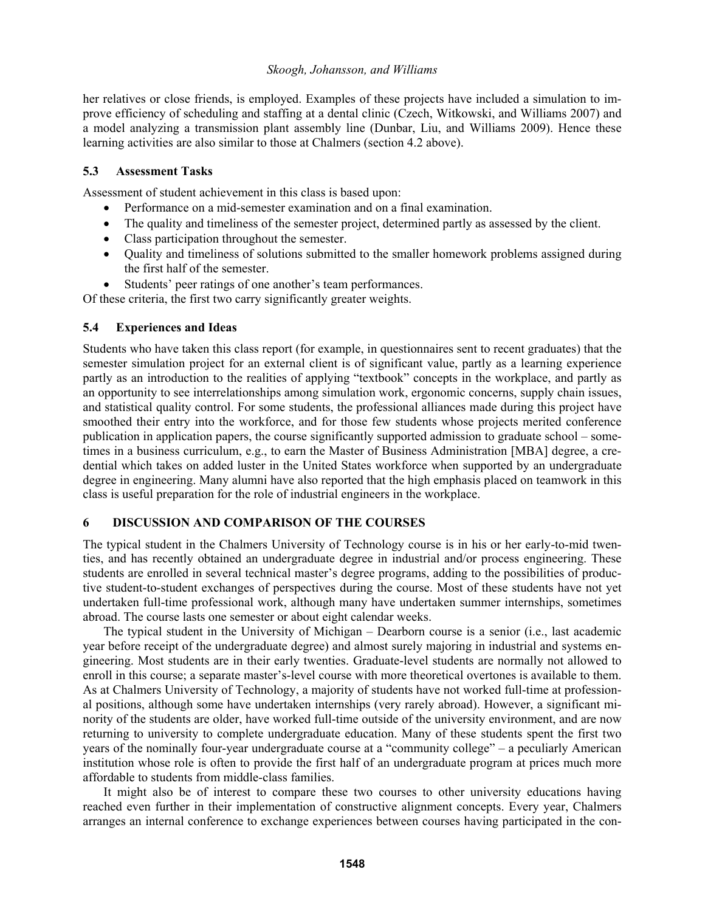her relatives or close friends, is employed. Examples of these projects have included a simulation to improve efficiency of scheduling and staffing at a dental clinic (Czech, Witkowski, and Williams 2007) and a model analyzing a transmission plant assembly line (Dunbar, Liu, and Williams 2009). Hence these learning activities are also similar to those at Chalmers (section 4.2 above).

### **5.3 Assessment Tasks**

Assessment of student achievement in this class is based upon:

- Performance on a mid-semester examination and on a final examination.
- The quality and timeliness of the semester project, determined partly as assessed by the client.
- Class participation throughout the semester.
- Ouality and timeliness of solutions submitted to the smaller homework problems assigned during the first half of the semester.
- Students' peer ratings of one another's team performances.

Of these criteria, the first two carry significantly greater weights.

# **5.4 Experiences and Ideas**

Students who have taken this class report (for example, in questionnaires sent to recent graduates) that the semester simulation project for an external client is of significant value, partly as a learning experience partly as an introduction to the realities of applying "textbook" concepts in the workplace, and partly as an opportunity to see interrelationships among simulation work, ergonomic concerns, supply chain issues, and statistical quality control. For some students, the professional alliances made during this project have smoothed their entry into the workforce, and for those few students whose projects merited conference publication in application papers, the course significantly supported admission to graduate school – sometimes in a business curriculum, e.g., to earn the Master of Business Administration [MBA] degree, a credential which takes on added luster in the United States workforce when supported by an undergraduate degree in engineering. Many alumni have also reported that the high emphasis placed on teamwork in this class is useful preparation for the role of industrial engineers in the workplace.

# **6 DISCUSSION AND COMPARISON OF THE COURSES**

The typical student in the Chalmers University of Technology course is in his or her early-to-mid twenties, and has recently obtained an undergraduate degree in industrial and/or process engineering. These students are enrolled in several technical master's degree programs, adding to the possibilities of productive student-to-student exchanges of perspectives during the course. Most of these students have not yet undertaken full-time professional work, although many have undertaken summer internships, sometimes abroad. The course lasts one semester or about eight calendar weeks.

The typical student in the University of Michigan – Dearborn course is a senior (i.e., last academic year before receipt of the undergraduate degree) and almost surely majoring in industrial and systems engineering. Most students are in their early twenties. Graduate-level students are normally not allowed to enroll in this course; a separate master's-level course with more theoretical overtones is available to them. As at Chalmers University of Technology, a majority of students have not worked full-time at professional positions, although some have undertaken internships (very rarely abroad). However, a significant minority of the students are older, have worked full-time outside of the university environment, and are now returning to university to complete undergraduate education. Many of these students spent the first two years of the nominally four-year undergraduate course at a "community college" – a peculiarly American institution whose role is often to provide the first half of an undergraduate program at prices much more affordable to students from middle-class families.

It might also be of interest to compare these two courses to other university educations having reached even further in their implementation of constructive alignment concepts. Every year, Chalmers arranges an internal conference to exchange experiences between courses having participated in the con-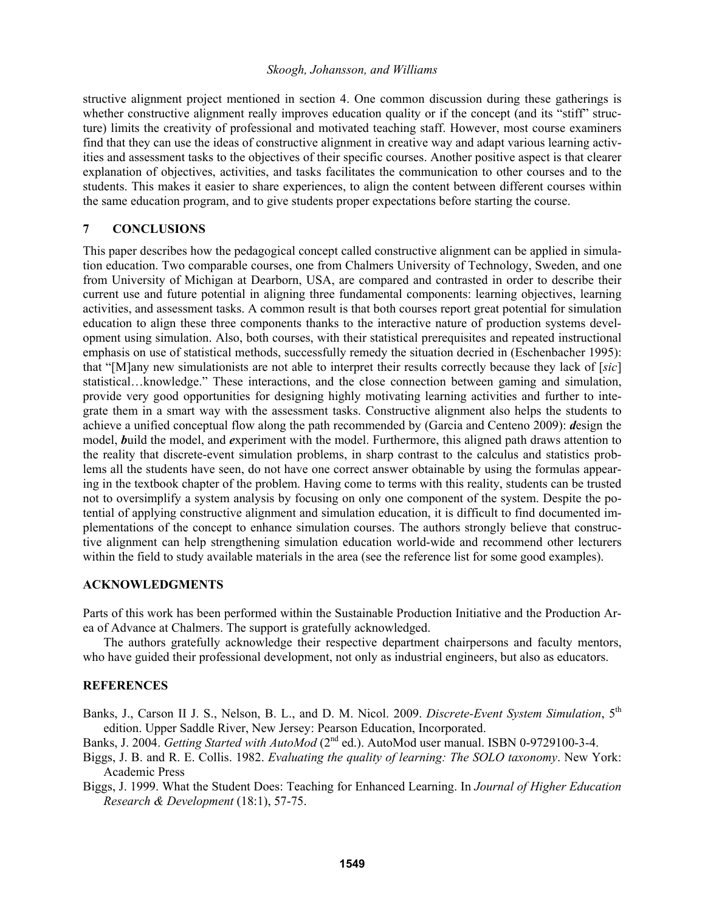structive alignment project mentioned in section 4. One common discussion during these gatherings is whether constructive alignment really improves education quality or if the concept (and its "stiff" structure) limits the creativity of professional and motivated teaching staff. However, most course examiners find that they can use the ideas of constructive alignment in creative way and adapt various learning activities and assessment tasks to the objectives of their specific courses. Another positive aspect is that clearer explanation of objectives, activities, and tasks facilitates the communication to other courses and to the students. This makes it easier to share experiences, to align the content between different courses within the same education program, and to give students proper expectations before starting the course.

# **7 CONCLUSIONS**

This paper describes how the pedagogical concept called constructive alignment can be applied in simulation education. Two comparable courses, one from Chalmers University of Technology, Sweden, and one from University of Michigan at Dearborn, USA, are compared and contrasted in order to describe their current use and future potential in aligning three fundamental components: learning objectives, learning activities, and assessment tasks. A common result is that both courses report great potential for simulation education to align these three components thanks to the interactive nature of production systems development using simulation. Also, both courses, with their statistical prerequisites and repeated instructional emphasis on use of statistical methods, successfully remedy the situation decried in (Eschenbacher 1995): that "[M]any new simulationists are not able to interpret their results correctly because they lack of [*sic*] statistical…knowledge." These interactions, and the close connection between gaming and simulation, provide very good opportunities for designing highly motivating learning activities and further to integrate them in a smart way with the assessment tasks. Constructive alignment also helps the students to achieve a unified conceptual flow along the path recommended by (Garcia and Centeno 2009): *d*esign the model, *b*uild the model, and *e*xperiment with the model. Furthermore, this aligned path draws attention to the reality that discrete-event simulation problems, in sharp contrast to the calculus and statistics problems all the students have seen, do not have one correct answer obtainable by using the formulas appearing in the textbook chapter of the problem. Having come to terms with this reality, students can be trusted not to oversimplify a system analysis by focusing on only one component of the system. Despite the potential of applying constructive alignment and simulation education, it is difficult to find documented implementations of the concept to enhance simulation courses. The authors strongly believe that constructive alignment can help strengthening simulation education world-wide and recommend other lecturers within the field to study available materials in the area (see the reference list for some good examples).

# **ACKNOWLEDGMENTS**

Parts of this work has been performed within the Sustainable Production Initiative and the Production Area of Advance at Chalmers. The support is gratefully acknowledged.

 The authors gratefully acknowledge their respective department chairpersons and faculty mentors, who have guided their professional development, not only as industrial engineers, but also as educators.

# **REFERENCES**

Banks, J., Carson II J. S., Nelson, B. L., and D. M. Nicol. 2009. *Discrete-Event System Simulation*, 5th edition. Upper Saddle River, New Jersey: Pearson Education, Incorporated.

Banks, J. 2004. *Getting Started with AutoMod* (2<sup>nd</sup> ed.). AutoMod user manual. ISBN 0-9729100-3-4.

Biggs, J. B. and R. E. Collis. 1982. *Evaluating the quality of learning: The SOLO taxonomy*. New York: Academic Press

Biggs, J. 1999. What the Student Does: Teaching for Enhanced Learning. In *Journal of Higher Education Research & Development* (18:1), 57-75.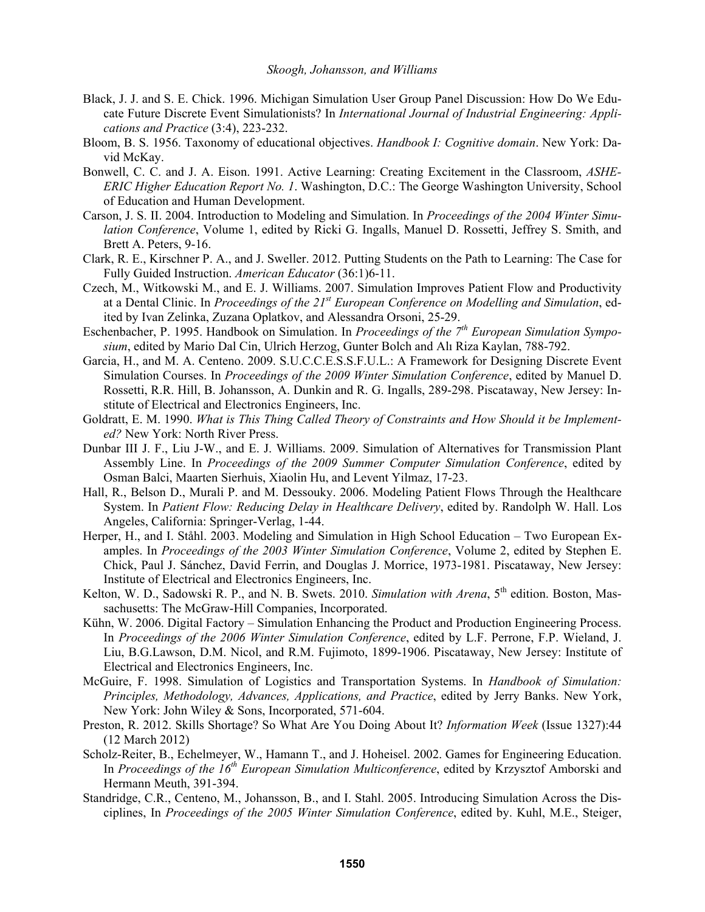- Black, J. J. and S. E. Chick. 1996. Michigan Simulation User Group Panel Discussion: How Do We Educate Future Discrete Event Simulationists? In *International Journal of Industrial Engineering: Applications and Practice* (3:4), 223-232.
- Bloom, B. S. 1956. Taxonomy of educational objectives. *Handbook I: Cognitive domain*. New York: David McKay.
- Bonwell, C. C. and J. A. Eison. 1991. Active Learning: Creating Excitement in the Classroom, *ASHE-ERIC Higher Education Report No. 1*. Washington, D.C.: The George Washington University, School of Education and Human Development.
- Carson, J. S. II. 2004. Introduction to Modeling and Simulation. In *Proceedings of the 2004 Winter Simulation Conference*, Volume 1, edited by Ricki G. Ingalls, Manuel D. Rossetti, Jeffrey S. Smith, and Brett A. Peters, 9-16.
- Clark, R. E., Kirschner P. A., and J. Sweller. 2012. Putting Students on the Path to Learning: The Case for Fully Guided Instruction. *American Educator* (36:1)6-11.
- Czech, M., Witkowski M., and E. J. Williams. 2007. Simulation Improves Patient Flow and Productivity at a Dental Clinic. In *Proceedings of the 21st European Conference on Modelling and Simulation*, edited by Ivan Zelinka, Zuzana Oplatkov, and Alessandra Orsoni, 25-29.
- Eschenbacher, P. 1995. Handbook on Simulation. In *Proceedings of the 7th European Simulation Symposium*, edited by Mario Dal Cin, Ulrich Herzog, Gunter Bolch and Alı Riza Kaylan, 788-792.
- Garcia, H., and M. A. Centeno. 2009. S.U.C.C.E.S.S.F.U.L.: A Framework for Designing Discrete Event Simulation Courses. In *Proceedings of the 2009 Winter Simulation Conference*, edited by Manuel D. Rossetti, R.R. Hill, B. Johansson, A. Dunkin and R. G. Ingalls, 289-298. Piscataway, New Jersey: Institute of Electrical and Electronics Engineers, Inc.
- Goldratt, E. M. 1990. *What is This Thing Called Theory of Constraints and How Should it be Implemented?* New York: North River Press.
- Dunbar III J. F., Liu J-W., and E. J. Williams. 2009. Simulation of Alternatives for Transmission Plant Assembly Line. In *Proceedings of the 2009 Summer Computer Simulation Conference*, edited by Osman Balci, Maarten Sierhuis, Xiaolin Hu, and Levent Yilmaz, 17-23.
- Hall, R., Belson D., Murali P. and M. Dessouky. 2006. Modeling Patient Flows Through the Healthcare System. In *Patient Flow: Reducing Delay in Healthcare Delivery*, edited by. Randolph W. Hall. Los Angeles, California: Springer-Verlag, 1-44.
- Herper, H., and I. Ståhl. 2003. Modeling and Simulation in High School Education Two European Examples. In *Proceedings of the 2003 Winter Simulation Conference*, Volume 2, edited by Stephen E. Chick, Paul J. Sánchez, David Ferrin, and Douglas J. Morrice, 1973-1981. Piscataway, New Jersey: Institute of Electrical and Electronics Engineers, Inc.
- Kelton, W. D., Sadowski R. P., and N. B. Swets. 2010. *Simulation with Arena*, 5<sup>th</sup> edition. Boston, Massachusetts: The McGraw-Hill Companies, Incorporated.
- Kühn, W. 2006. Digital Factory Simulation Enhancing the Product and Production Engineering Process. In *Proceedings of the 2006 Winter Simulation Conference*, edited by L.F. Perrone, F.P. Wieland, J. Liu, B.G.Lawson, D.M. Nicol, and R.M. Fujimoto, 1899-1906. Piscataway, New Jersey: Institute of Electrical and Electronics Engineers, Inc.
- McGuire, F. 1998. Simulation of Logistics and Transportation Systems. In *Handbook of Simulation: Principles, Methodology, Advances, Applications, and Practice*, edited by Jerry Banks. New York, New York: John Wiley & Sons, Incorporated, 571-604.
- Preston, R. 2012. Skills Shortage? So What Are You Doing About It? *Information Week* (Issue 1327):44 (12 March 2012)
- Scholz-Reiter, B., Echelmeyer, W., Hamann T., and J. Hoheisel. 2002. Games for Engineering Education. In *Proceedings of the 16th European Simulation Multiconference*, edited by Krzysztof Amborski and Hermann Meuth, 391-394.
- Standridge, C.R., Centeno, M., Johansson, B., and I. Stahl. 2005. Introducing Simulation Across the Disciplines, In *Proceedings of the 2005 Winter Simulation Conference*, edited by. Kuhl, M.E., Steiger,